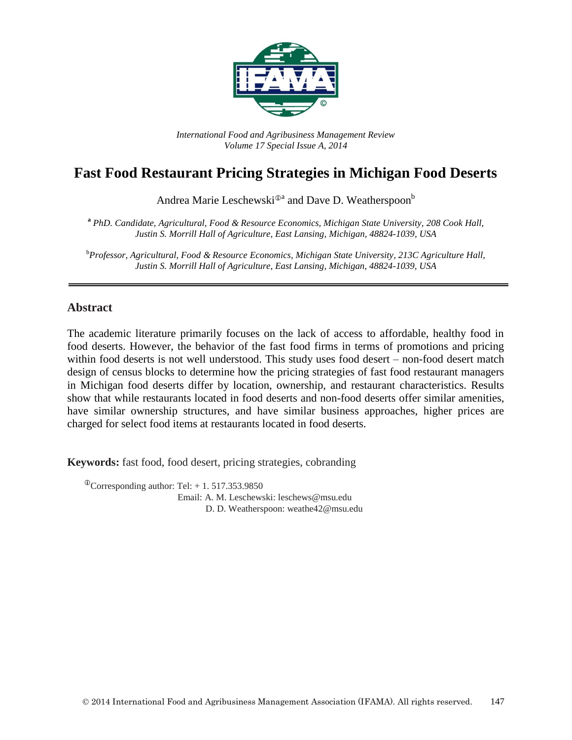

*International Food and Agribusiness Management Review Volume 17 Special Issue A, 2014*

# **Fast Food Restaurant Pricing Strategies in Michigan Food Deserts**

Andrea Marie Leschewski<sup>®a</sup> and Dave D. Weatherspoon<sup>b</sup>

**<sup>a</sup>** *PhD. Candidate, Agricultural, Food & Resource Economics, Michigan State University, 208 Cook Hall, Justin S. Morrill Hall of Agriculture, East Lansing, Michigan, 48824-1039, USA*

<sup>b</sup>*Professor, Agricultural, Food & Resource Economics, Michigan State University, 213C Agriculture Hall, Justin S. Morrill Hall of Agriculture, East Lansing, Michigan, 48824-1039, USA*

#### **Abstract**

The academic literature primarily focuses on the lack of access to affordable, healthy food in food deserts. However, the behavior of the fast food firms in terms of promotions and pricing within food deserts is not well understood. This study uses food desert – non-food desert match design of census blocks to determine how the pricing strategies of fast food restaurant managers in Michigan food deserts differ by location, ownership, and restaurant characteristics. Results show that while restaurants located in food deserts and non-food deserts offer similar amenities, have similar ownership structures, and have similar business approaches, higher prices are charged for select food items at restaurants located in food deserts.

**Keywords:** fast food, food desert, pricing strategies, cobranding

 $^{\circ}$ Corresponding author: Tel: + 1. 517.353.9850 Email: A. M. Leschewski: leschews@msu.edu D. D. Weatherspoon: weathe42@msu.edu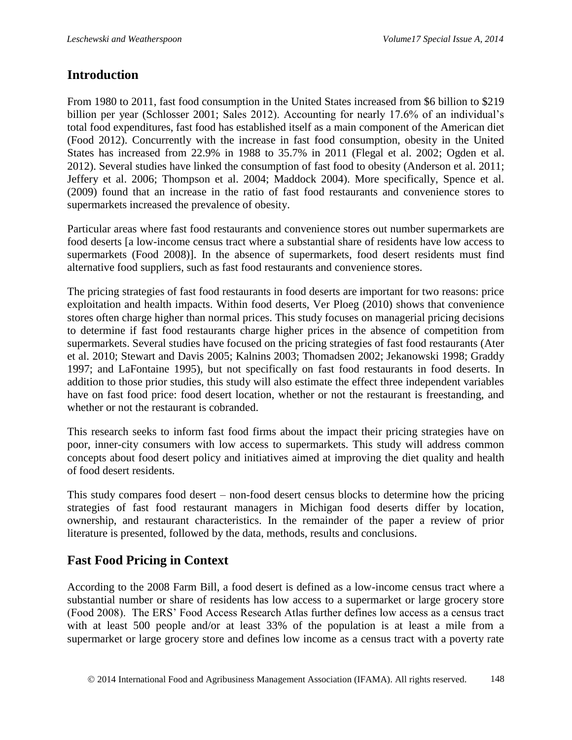### **Introduction**

From 1980 to 2011, fast food consumption in the United States increased from \$6 billion to \$219 billion per year (Schlosser 2001; Sales 2012). Accounting for nearly 17.6% of an individual's total food expenditures, fast food has established itself as a main component of the American diet (Food 2012). Concurrently with the increase in fast food consumption, obesity in the United States has increased from 22.9% in 1988 to 35.7% in 2011 (Flegal et al. 2002; Ogden et al. 2012). Several studies have linked the consumption of fast food to obesity (Anderson et al. 2011; Jeffery et al. 2006; Thompson et al. 2004; Maddock 2004). More specifically, Spence et al. (2009) found that an increase in the ratio of fast food restaurants and convenience stores to supermarkets increased the prevalence of obesity.

Particular areas where fast food restaurants and convenience stores out number supermarkets are food deserts [a low-income census tract where a substantial share of residents have low access to supermarkets (Food 2008)]. In the absence of supermarkets, food desert residents must find alternative food suppliers, such as fast food restaurants and convenience stores.

The pricing strategies of fast food restaurants in food deserts are important for two reasons: price exploitation and health impacts. Within food deserts, Ver Ploeg (2010) shows that convenience stores often charge higher than normal prices. This study focuses on managerial pricing decisions to determine if fast food restaurants charge higher prices in the absence of competition from supermarkets. Several studies have focused on the pricing strategies of fast food restaurants (Ater et al. 2010; Stewart and Davis 2005; Kalnins 2003; Thomadsen 2002; Jekanowski 1998; Graddy 1997; and LaFontaine 1995), but not specifically on fast food restaurants in food deserts. In addition to those prior studies, this study will also estimate the effect three independent variables have on fast food price: food desert location, whether or not the restaurant is freestanding, and whether or not the restaurant is cobranded.

This research seeks to inform fast food firms about the impact their pricing strategies have on poor, inner-city consumers with low access to supermarkets. This study will address common concepts about food desert policy and initiatives aimed at improving the diet quality and health of food desert residents.

This study compares food desert – non-food desert census blocks to determine how the pricing strategies of fast food restaurant managers in Michigan food deserts differ by location, ownership, and restaurant characteristics. In the remainder of the paper a review of prior literature is presented, followed by the data, methods, results and conclusions.

### **Fast Food Pricing in Context**

According to the 2008 Farm Bill, a food desert is defined as a low-income census tract where a substantial number or share of residents has low access to a supermarket or large grocery store (Food 2008). The ERS' Food Access Research Atlas further defines low access as a census tract with at least 500 people and/or at least 33% of the population is at least a mile from a supermarket or large grocery store and defines low income as a census tract with a poverty rate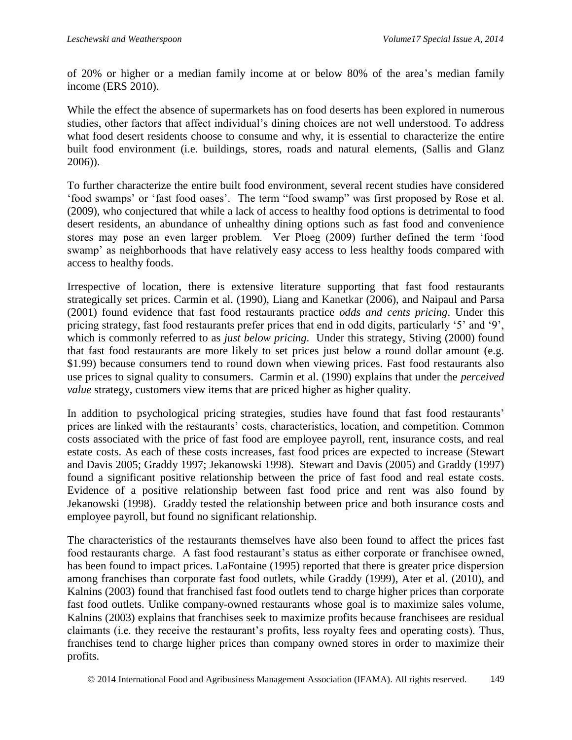of 20% or higher or a median family income at or below 80% of the area's median family income (ERS 2010).

While the effect the absence of supermarkets has on food deserts has been explored in numerous studies, other factors that affect individual's dining choices are not well understood. To address what food desert residents choose to consume and why, it is essential to characterize the entire built food environment (i.e. buildings, stores, roads and natural elements, (Sallis and Glanz 2006)).

To further characterize the entire built food environment, several recent studies have considered 'food swamps' or 'fast food oases'. The term "food swamp" was first proposed by Rose et al. (2009), who conjectured that while a lack of access to healthy food options is detrimental to food desert residents, an abundance of unhealthy dining options such as fast food and convenience stores may pose an even larger problem. Ver Ploeg (2009) further defined the term 'food swamp' as neighborhoods that have relatively easy access to less healthy foods compared with access to healthy foods.

Irrespective of location, there is extensive literature supporting that fast food restaurants strategically set prices. Carmin et al. (1990), Liang and Kanetkar (2006), and Naipaul and Parsa (2001) found evidence that fast food restaurants practice *odds and cents pricing*. Under this pricing strategy, fast food restaurants prefer prices that end in odd digits, particularly '5' and '9', which is commonly referred to as *just below pricing*. Under this strategy, Stiving (2000) found that fast food restaurants are more likely to set prices just below a round dollar amount (e.g. \$1.99) because consumers tend to round down when viewing prices. Fast food restaurants also use prices to signal quality to consumers. Carmin et al. (1990) explains that under the *perceived value* strategy, customers view items that are priced higher as higher quality.

In addition to psychological pricing strategies, studies have found that fast food restaurants' prices are linked with the restaurants' costs, characteristics, location, and competition. Common costs associated with the price of fast food are employee payroll, rent, insurance costs, and real estate costs. As each of these costs increases, fast food prices are expected to increase (Stewart and Davis 2005; Graddy 1997; Jekanowski 1998). Stewart and Davis (2005) and Graddy (1997) found a significant positive relationship between the price of fast food and real estate costs. Evidence of a positive relationship between fast food price and rent was also found by Jekanowski (1998). Graddy tested the relationship between price and both insurance costs and employee payroll, but found no significant relationship.

The characteristics of the restaurants themselves have also been found to affect the prices fast food restaurants charge. A fast food restaurant's status as either corporate or franchisee owned, has been found to impact prices. LaFontaine (1995) reported that there is greater price dispersion among franchises than corporate fast food outlets, while Graddy (1999), Ater et al. (2010), and Kalnins (2003) found that franchised fast food outlets tend to charge higher prices than corporate fast food outlets. Unlike company-owned restaurants whose goal is to maximize sales volume, Kalnins (2003) explains that franchises seek to maximize profits because franchisees are residual claimants (i.e. they receive the restaurant's profits, less royalty fees and operating costs). Thus, franchises tend to charge higher prices than company owned stores in order to maximize their profits.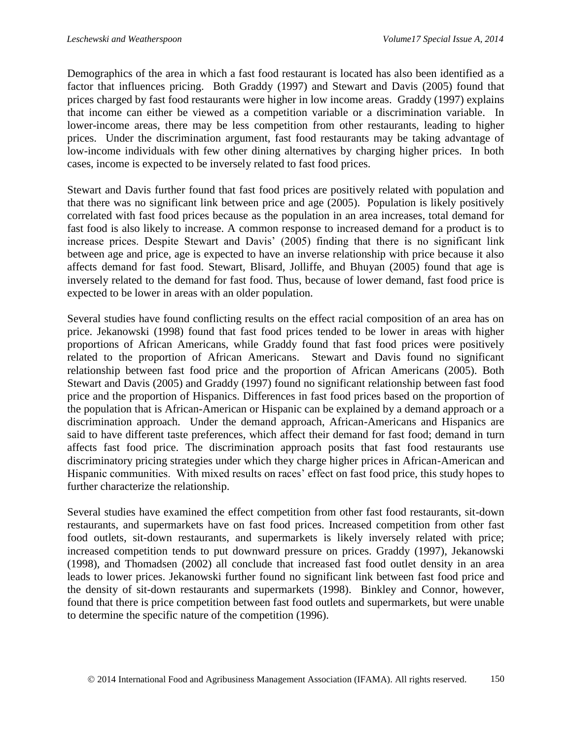Demographics of the area in which a fast food restaurant is located has also been identified as a factor that influences pricing. Both Graddy (1997) and Stewart and Davis (2005) found that prices charged by fast food restaurants were higher in low income areas. Graddy (1997) explains that income can either be viewed as a competition variable or a discrimination variable. In lower-income areas, there may be less competition from other restaurants, leading to higher prices. Under the discrimination argument, fast food restaurants may be taking advantage of low-income individuals with few other dining alternatives by charging higher prices. In both cases, income is expected to be inversely related to fast food prices.

Stewart and Davis further found that fast food prices are positively related with population and that there was no significant link between price and age (2005). Population is likely positively correlated with fast food prices because as the population in an area increases, total demand for fast food is also likely to increase. A common response to increased demand for a product is to increase prices. Despite Stewart and Davis' (2005) finding that there is no significant link between age and price, age is expected to have an inverse relationship with price because it also affects demand for fast food. Stewart, Blisard, Jolliffe, and Bhuyan (2005) found that age is inversely related to the demand for fast food. Thus, because of lower demand, fast food price is expected to be lower in areas with an older population.

Several studies have found conflicting results on the effect racial composition of an area has on price. Jekanowski (1998) found that fast food prices tended to be lower in areas with higher proportions of African Americans, while Graddy found that fast food prices were positively related to the proportion of African Americans. Stewart and Davis found no significant relationship between fast food price and the proportion of African Americans (2005). Both Stewart and Davis (2005) and Graddy (1997) found no significant relationship between fast food price and the proportion of Hispanics. Differences in fast food prices based on the proportion of the population that is African-American or Hispanic can be explained by a demand approach or a discrimination approach. Under the demand approach, African-Americans and Hispanics are said to have different taste preferences, which affect their demand for fast food; demand in turn affects fast food price. The discrimination approach posits that fast food restaurants use discriminatory pricing strategies under which they charge higher prices in African-American and Hispanic communities. With mixed results on races' effect on fast food price, this study hopes to further characterize the relationship.

Several studies have examined the effect competition from other fast food restaurants, sit-down restaurants, and supermarkets have on fast food prices. Increased competition from other fast food outlets, sit-down restaurants, and supermarkets is likely inversely related with price; increased competition tends to put downward pressure on prices. Graddy (1997), Jekanowski (1998), and Thomadsen (2002) all conclude that increased fast food outlet density in an area leads to lower prices. Jekanowski further found no significant link between fast food price and the density of sit-down restaurants and supermarkets (1998). Binkley and Connor, however, found that there is price competition between fast food outlets and supermarkets, but were unable to determine the specific nature of the competition (1996).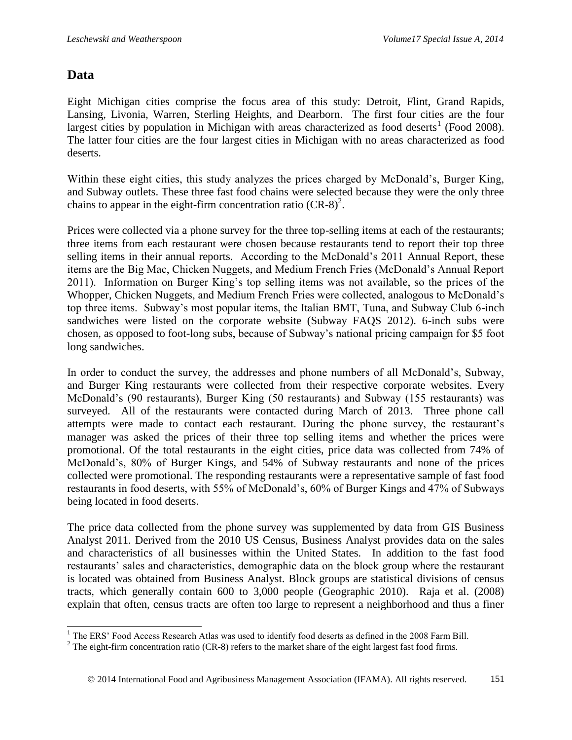### **Data**

 $\overline{\phantom{a}}$ 

Eight Michigan cities comprise the focus area of this study: Detroit, Flint, Grand Rapids, Lansing, Livonia, Warren, Sterling Heights, and Dearborn. The first four cities are the four largest cities by population in Michigan with areas characterized as food deserts<sup>1</sup> (Food 2008). The latter four cities are the four largest cities in Michigan with no areas characterized as food deserts.

Within these eight cities, this study analyzes the prices charged by McDonald's, Burger King, and Subway outlets. These three fast food chains were selected because they were the only three chains to appear in the eight-firm concentration ratio  $(CR-8)^2$ .

Prices were collected via a phone survey for the three top-selling items at each of the restaurants; three items from each restaurant were chosen because restaurants tend to report their top three selling items in their annual reports. According to the McDonald's 2011 Annual Report, these items are the Big Mac, Chicken Nuggets, and Medium French Fries (McDonald's Annual Report 2011). Information on Burger King's top selling items was not available, so the prices of the Whopper, Chicken Nuggets, and Medium French Fries were collected, analogous to McDonald's top three items. Subway's most popular items, the Italian BMT, Tuna, and Subway Club 6-inch sandwiches were listed on the corporate website (Subway FAQS 2012). 6-inch subs were chosen, as opposed to foot-long subs, because of Subway's national pricing campaign for \$5 foot long sandwiches.

In order to conduct the survey, the addresses and phone numbers of all McDonald's, Subway, and Burger King restaurants were collected from their respective corporate websites. Every McDonald's (90 restaurants), Burger King (50 restaurants) and Subway (155 restaurants) was surveyed. All of the restaurants were contacted during March of 2013. Three phone call attempts were made to contact each restaurant. During the phone survey, the restaurant's manager was asked the prices of their three top selling items and whether the prices were promotional. Of the total restaurants in the eight cities, price data was collected from 74% of McDonald's, 80% of Burger Kings, and 54% of Subway restaurants and none of the prices collected were promotional. The responding restaurants were a representative sample of fast food restaurants in food deserts, with 55% of McDonald's, 60% of Burger Kings and 47% of Subways being located in food deserts.

The price data collected from the phone survey was supplemented by data from GIS Business Analyst 2011. Derived from the 2010 US Census, Business Analyst provides data on the sales and characteristics of all businesses within the United States. In addition to the fast food restaurants' sales and characteristics, demographic data on the block group where the restaurant is located was obtained from Business Analyst. Block groups are statistical divisions of census tracts, which generally contain 600 to 3,000 people (Geographic 2010). Raja et al. (2008) explain that often, census tracts are often too large to represent a neighborhood and thus a finer

<sup>&</sup>lt;sup>1</sup> The ERS' Food Access Research Atlas was used to identify food deserts as defined in the 2008 Farm Bill.

<sup>&</sup>lt;sup>2</sup> The eight-firm concentration ratio (CR-8) refers to the market share of the eight largest fast food firms.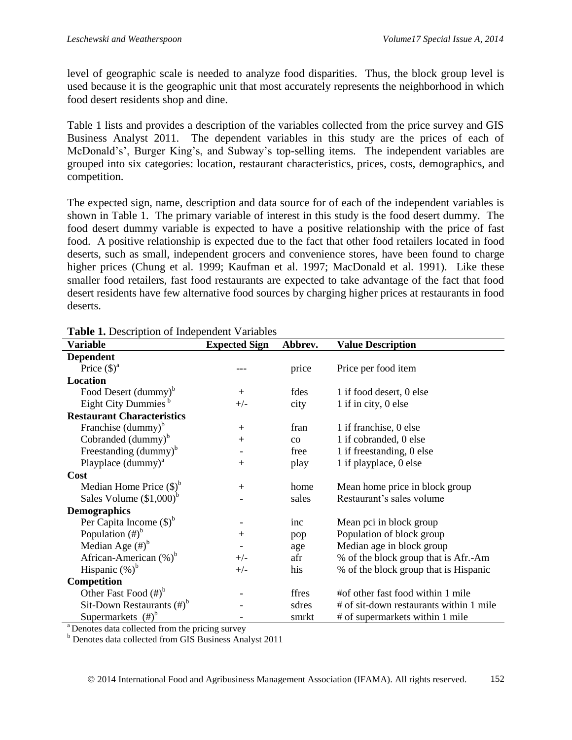level of geographic scale is needed to analyze food disparities. Thus, the block group level is used because it is the geographic unit that most accurately represents the neighborhood in which food desert residents shop and dine.

Table 1 lists and provides a description of the variables collected from the price survey and GIS Business Analyst 2011. The dependent variables in this study are the prices of each of McDonald's', Burger King's, and Subway's top-selling items. The independent variables are grouped into six categories: location, restaurant characteristics, prices, costs, demographics, and competition.

The expected sign, name, description and data source for of each of the independent variables is shown in Table 1. The primary variable of interest in this study is the food desert dummy. The food desert dummy variable is expected to have a positive relationship with the price of fast food. A positive relationship is expected due to the fact that other food retailers located in food deserts, such as small, independent grocers and convenience stores, have been found to charge higher prices (Chung et al. 1999; Kaufman et al. 1997; MacDonald et al. 1991). Like these smaller food retailers, fast food restaurants are expected to take advantage of the fact that food desert residents have few alternative food sources by charging higher prices at restaurants in food deserts.

|                                      | <b>Lable 1.</b> Description of independent variables |           |                                         |  |  |  |  |  |  |
|--------------------------------------|------------------------------------------------------|-----------|-----------------------------------------|--|--|--|--|--|--|
| <b>Variable</b>                      | <b>Expected Sign</b>                                 | Abbrev.   | <b>Value Description</b>                |  |  |  |  |  |  |
| <b>Dependent</b>                     |                                                      |           |                                         |  |  |  |  |  |  |
| Price $(\text{\$})^{\text{\$}}$      |                                                      | price     | Price per food item                     |  |  |  |  |  |  |
| Location                             |                                                      |           |                                         |  |  |  |  |  |  |
| Food Desert (dummy) <sup>b</sup>     | $+$                                                  | fdes      | 1 if food desert, 0 else                |  |  |  |  |  |  |
| Eight City Dummies <sup>b</sup>      | $+/-$                                                | city      | 1 if in city, 0 else                    |  |  |  |  |  |  |
| <b>Restaurant Characteristics</b>    |                                                      |           |                                         |  |  |  |  |  |  |
| Franchise (dummy) <sup>b</sup>       | $+$                                                  | fran      | 1 if franchise, 0 else                  |  |  |  |  |  |  |
| Cobranded $(d\text{ummy})^b$         | $+$                                                  | $\rm{co}$ | 1 if cobranded, 0 else                  |  |  |  |  |  |  |
| Freestanding (dummy) <sup>b</sup>    |                                                      | free      | 1 if freestanding, 0 else               |  |  |  |  |  |  |
| Playplace $(d\text{ummy})^a$         | $^{+}$                                               | play      | 1 if playplace, 0 else                  |  |  |  |  |  |  |
| <b>Cost</b>                          |                                                      |           |                                         |  |  |  |  |  |  |
| Median Home Price $(\text{\$})^b$    | $+$                                                  | home      | Mean home price in block group          |  |  |  |  |  |  |
| Sales Volume $($1,000)$ <sup>b</sup> |                                                      | sales     | Restaurant's sales volume               |  |  |  |  |  |  |
| <b>Demographics</b>                  |                                                      |           |                                         |  |  |  |  |  |  |
| Per Capita Income $(\text{\$})^b$    |                                                      | inc       | Mean pci in block group                 |  |  |  |  |  |  |
| Population $(\#)^b$                  | $+$                                                  | pop       | Population of block group               |  |  |  |  |  |  |
| Median Age $(\#)^b$                  |                                                      | age       | Median age in block group               |  |  |  |  |  |  |
| African-American $(\%)^b$            | $+/-$                                                | afr       | % of the block group that is Afr.-Am    |  |  |  |  |  |  |
| Hispanic $(\%)^b$                    | $+/-$                                                | his       | % of the block group that is Hispanic   |  |  |  |  |  |  |
| Competition                          |                                                      |           |                                         |  |  |  |  |  |  |
| Other Fast Food $(\#)^b$             |                                                      | ffres     | #of other fast food within 1 mile       |  |  |  |  |  |  |
| Sit-Down Restaurants $(\#)^b$        |                                                      | sdres     | # of sit-down restaurants within 1 mile |  |  |  |  |  |  |
| Supermarkets $(\#)^b$                |                                                      | smrkt     | # of supermarkets within 1 mile         |  |  |  |  |  |  |

**Table 1.** Description of Independent Variables

<sup>a</sup> Denotes data collected from the pricing survey

<sup>b</sup> Denotes data collected from GIS Business Analyst 2011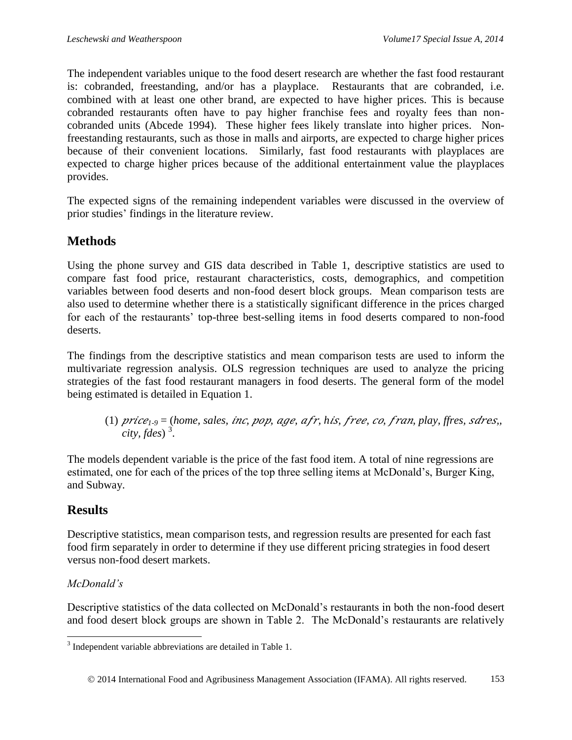The independent variables unique to the food desert research are whether the fast food restaurant is: cobranded, freestanding, and/or has a playplace. Restaurants that are cobranded, i.e. combined with at least one other brand, are expected to have higher prices. This is because cobranded restaurants often have to pay higher franchise fees and royalty fees than noncobranded units (Abcede 1994). These higher fees likely translate into higher prices. Nonfreestanding restaurants, such as those in malls and airports, are expected to charge higher prices because of their convenient locations. Similarly, fast food restaurants with playplaces are expected to charge higher prices because of the additional entertainment value the playplaces provides.

The expected signs of the remaining independent variables were discussed in the overview of prior studies' findings in the literature review.

## **Methods**

Using the phone survey and GIS data described in Table 1, descriptive statistics are used to compare fast food price, restaurant characteristics, costs, demographics, and competition variables between food deserts and non-food desert block groups. Mean comparison tests are also used to determine whether there is a statistically significant difference in the prices charged for each of the restaurants' top-three best-selling items in food deserts compared to non-food deserts.

The findings from the descriptive statistics and mean comparison tests are used to inform the multivariate regression analysis. OLS regression techniques are used to analyze the pricing strategies of the fast food restaurant managers in food deserts. The general form of the model being estimated is detailed in Equation 1.

(1) *1-9* = (*home, sales, , , , , h, , , , play, ffres,* e*,, city, fdes*) <sup>3</sup> .

The models dependent variable is the price of the fast food item. A total of nine regressions are estimated, one for each of the prices of the top three selling items at McDonald's, Burger King, and Subway.

## **Results**

Descriptive statistics, mean comparison tests, and regression results are presented for each fast food firm separately in order to determine if they use different pricing strategies in food desert versus non-food desert markets.

### *McDonald's*

Descriptive statistics of the data collected on McDonald's restaurants in both the non-food desert and food desert block groups are shown in Table 2. The McDonald's restaurants are relatively

l <sup>3</sup> Independent variable abbreviations are detailed in Table 1.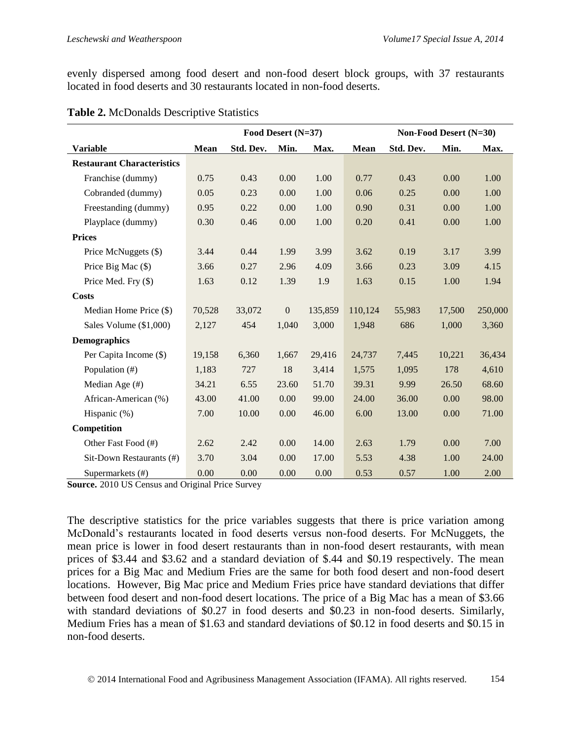evenly dispersed among food desert and non-food desert block groups, with 37 restaurants located in food deserts and 30 restaurants located in non-food deserts.

|                                   | Food Desert (N=37) |           |                |         |             | Non-Food Desert (N=30) |        |         |
|-----------------------------------|--------------------|-----------|----------------|---------|-------------|------------------------|--------|---------|
| <b>Variable</b>                   | <b>Mean</b>        | Std. Dev. | Min.           | Max.    | <b>Mean</b> | Std. Dev.              | Min.   | Max.    |
| <b>Restaurant Characteristics</b> |                    |           |                |         |             |                        |        |         |
| Franchise (dummy)                 | 0.75               | 0.43      | 0.00           | 1.00    | 0.77        | 0.43                   | 0.00   | 1.00    |
| Cobranded (dummy)                 | 0.05               | 0.23      | 0.00           | 1.00    | 0.06        | 0.25                   | 0.00   | 1.00    |
| Freestanding (dummy)              | 0.95               | 0.22      | 0.00           | 1.00    | 0.90        | 0.31                   | 0.00   | 1.00    |
| Playplace (dummy)                 | 0.30               | 0.46      | 0.00           | 1.00    | 0.20        | 0.41                   | 0.00   | 1.00    |
| <b>Prices</b>                     |                    |           |                |         |             |                        |        |         |
| Price McNuggets (\$)              | 3.44               | 0.44      | 1.99           | 3.99    | 3.62        | 0.19                   | 3.17   | 3.99    |
| Price Big Mac (\$)                | 3.66               | 0.27      | 2.96           | 4.09    | 3.66        | 0.23                   | 3.09   | 4.15    |
| Price Med. Fry (\$)               | 1.63               | 0.12      | 1.39           | 1.9     | 1.63        | 0.15                   | 1.00   | 1.94    |
| <b>Costs</b>                      |                    |           |                |         |             |                        |        |         |
| Median Home Price (\$)            | 70,528             | 33,072    | $\overline{0}$ | 135,859 | 110,124     | 55,983                 | 17,500 | 250,000 |
| Sales Volume (\$1,000)            | 2,127              | 454       | 1,040          | 3,000   | 1,948       | 686                    | 1,000  | 3,360   |
| <b>Demographics</b>               |                    |           |                |         |             |                        |        |         |
| Per Capita Income (\$)            | 19,158             | 6,360     | 1,667          | 29,416  | 24,737      | 7,445                  | 10,221 | 36,434  |
| Population (#)                    | 1,183              | 727       | 18             | 3,414   | 1,575       | 1,095                  | 178    | 4,610   |
| Median Age (#)                    | 34.21              | 6.55      | 23.60          | 51.70   | 39.31       | 9.99                   | 26.50  | 68.60   |
| African-American (%)              | 43.00              | 41.00     | 0.00           | 99.00   | 24.00       | 36.00                  | 0.00   | 98.00   |
| Hispanic (%)                      | 7.00               | 10.00     | 0.00           | 46.00   | 6.00        | 13.00                  | 0.00   | 71.00   |
| Competition                       |                    |           |                |         |             |                        |        |         |
| Other Fast Food (#)               | 2.62               | 2.42      | 0.00           | 14.00   | 2.63        | 1.79                   | 0.00   | 7.00    |
| Sit-Down Restaurants (#)          | 3.70               | 3.04      | 0.00           | 17.00   | 5.53        | 4.38                   | 1.00   | 24.00   |
| Supermarkets (#)                  | 0.00               | 0.00      | 0.00           | 0.00    | 0.53        | 0.57                   | 1.00   | 2.00    |

| Table 2. McDonalds Descriptive Statistics |  |  |
|-------------------------------------------|--|--|
|-------------------------------------------|--|--|

**Source.** 2010 US Census and Original Price Survey

The descriptive statistics for the price variables suggests that there is price variation among McDonald's restaurants located in food deserts versus non-food deserts. For McNuggets, the mean price is lower in food desert restaurants than in non-food desert restaurants, with mean prices of \$3.44 and \$3.62 and a standard deviation of \$.44 and \$0.19 respectively. The mean prices for a Big Mac and Medium Fries are the same for both food desert and non-food desert locations. However, Big Mac price and Medium Fries price have standard deviations that differ between food desert and non-food desert locations. The price of a Big Mac has a mean of \$3.66 with standard deviations of \$0.27 in food deserts and \$0.23 in non-food deserts. Similarly, Medium Fries has a mean of \$1.63 and standard deviations of \$0.12 in food deserts and \$0.15 in non-food deserts.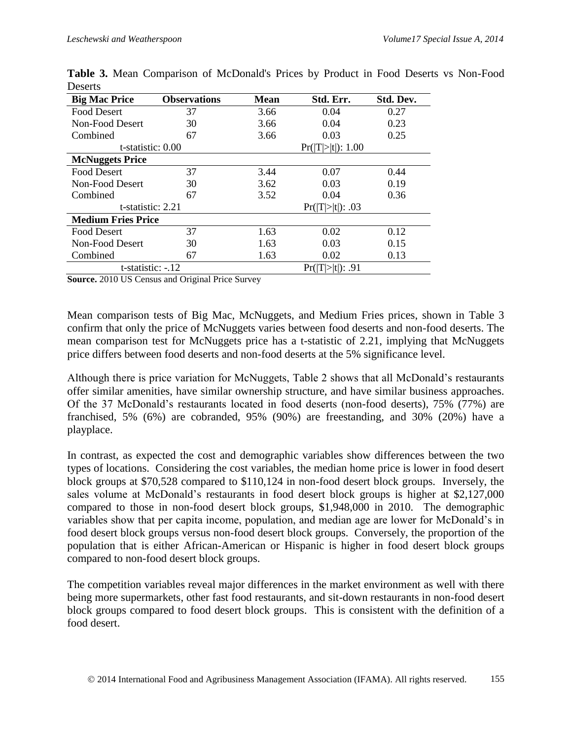| <b>Big Mac Price</b>      | <b>Observations</b> | <b>Mean</b> | Std. Err.         | Std. Dev. |
|---------------------------|---------------------|-------------|-------------------|-----------|
| <b>Food Desert</b>        | 37                  | 3.66        | 0.04              | 0.27      |
| Non-Food Desert           | 30                  | 3.66        | 0.04              | 0.23      |
| Combined                  | 67                  | 3.66        | 0.03              | 0.25      |
| t-statistic: 0.00         |                     |             | Pr( T > t ): 1.00 |           |
| <b>McNuggets Price</b>    |                     |             |                   |           |
| <b>Food Desert</b>        | 37                  | 3.44        | 0.07              | 0.44      |
| Non-Food Desert           | 30                  | 3.62        | 0.03              | 0.19      |
| Combined                  | 67                  | 3.52        | 0.04              |           |
| t-statistic: 2.21         |                     |             | Pr( T > t ): .03  |           |
| <b>Medium Fries Price</b> |                     |             |                   |           |
| <b>Food Desert</b>        | 37                  | 1.63        | 0.02              | 0.12      |
| Non-Food Desert           | 30                  | 1.63        | 0.03              | 0.15      |
| Combined                  | 67                  | 1.63        | 0.02              | 0.13      |
| t-statistic: -.12         |                     |             | Pr( T > t ): .91  |           |

**Table 3.** Mean Comparison of McDonald's Prices by Product in Food Deserts vs Non-Food Deserts

**Source.** 2010 US Census and Original Price Survey

Mean comparison tests of Big Mac, McNuggets, and Medium Fries prices, shown in Table 3 confirm that only the price of McNuggets varies between food deserts and non-food deserts. The mean comparison test for McNuggets price has a t-statistic of 2.21, implying that McNuggets price differs between food deserts and non-food deserts at the 5% significance level.

Although there is price variation for McNuggets, Table 2 shows that all McDonald's restaurants offer similar amenities, have similar ownership structure, and have similar business approaches. Of the 37 McDonald's restaurants located in food deserts (non-food deserts), 75% (77%) are franchised, 5% (6%) are cobranded, 95% (90%) are freestanding, and 30% (20%) have a playplace.

In contrast, as expected the cost and demographic variables show differences between the two types of locations. Considering the cost variables, the median home price is lower in food desert block groups at \$70,528 compared to \$110,124 in non-food desert block groups. Inversely, the sales volume at McDonald's restaurants in food desert block groups is higher at \$2,127,000 compared to those in non-food desert block groups, \$1,948,000 in 2010. The demographic variables show that per capita income, population, and median age are lower for McDonald's in food desert block groups versus non-food desert block groups. Conversely, the proportion of the population that is either African-American or Hispanic is higher in food desert block groups compared to non-food desert block groups.

The competition variables reveal major differences in the market environment as well with there being more supermarkets, other fast food restaurants, and sit-down restaurants in non-food desert block groups compared to food desert block groups. This is consistent with the definition of a food desert.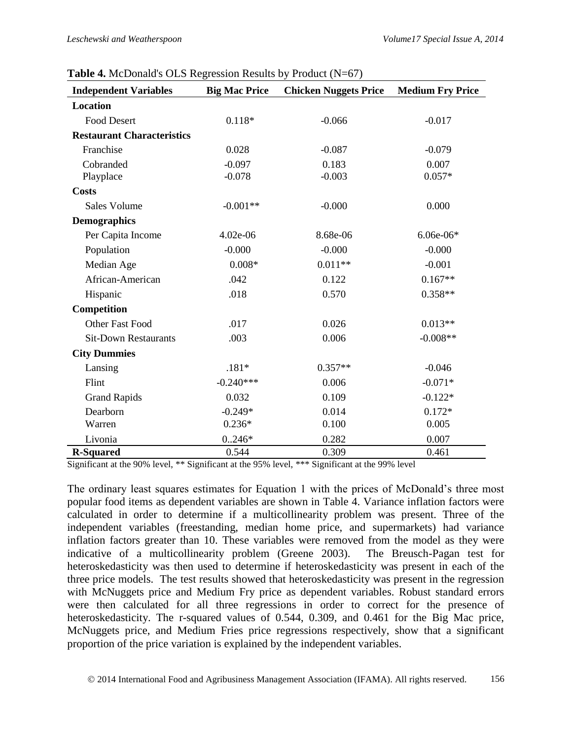| <b>Independent Variables</b>      | <b>Big Mac Price</b> | $\frac{1}{2}$<br><b>Chicken Nuggets Price</b> | <b>Medium Fry Price</b> |
|-----------------------------------|----------------------|-----------------------------------------------|-------------------------|
| <b>Location</b>                   |                      |                                               |                         |
| <b>Food Desert</b>                | $0.118*$             | $-0.066$                                      | $-0.017$                |
| <b>Restaurant Characteristics</b> |                      |                                               |                         |
| Franchise                         | 0.028                | $-0.087$                                      | $-0.079$                |
| Cobranded                         | $-0.097$             | 0.183                                         | 0.007                   |
| Playplace                         | $-0.078$             | $-0.003$                                      | $0.057*$                |
| <b>Costs</b>                      |                      |                                               |                         |
| <b>Sales Volume</b>               | $-0.001**$           | $-0.000$                                      | 0.000                   |
| <b>Demographics</b>               |                      |                                               |                         |
| Per Capita Income                 | 4.02e-06             | 8.68e-06                                      | $6.06e-06*$             |
| Population                        | $-0.000$             | $-0.000$                                      | $-0.000$                |
| Median Age                        | $0.008*$             | $0.011**$                                     | $-0.001$                |
| African-American                  | .042                 | 0.122                                         | $0.167**$               |
| Hispanic                          | .018                 | 0.570                                         | $0.358**$               |
| Competition                       |                      |                                               |                         |
| <b>Other Fast Food</b>            | .017                 | 0.026                                         | $0.013**$               |
| <b>Sit-Down Restaurants</b>       | .003                 | 0.006                                         | $-0.008**$              |
| <b>City Dummies</b>               |                      |                                               |                         |
| Lansing                           | $.181*$              | $0.357**$                                     | $-0.046$                |
| Flint                             | $-0.240***$          | 0.006                                         | $-0.071*$               |
| <b>Grand Rapids</b>               | 0.032                | 0.109                                         | $-0.122*$               |
| Dearborn                          | $-0.249*$            | 0.014                                         | $0.172*$                |
| Warren                            | $0.236*$             | 0.100                                         | 0.005                   |
| Livonia                           | $0.246*$             | 0.282                                         | 0.007                   |
| <b>R-Squared</b>                  | 0.544                | 0.309                                         | 0.461                   |

**Table 4.** McDonald's OLS Regression Results by Product (N=67)

Significant at the 90% level, \*\* Significant at the 95% level, \*\*\* Significant at the 99% level

The ordinary least squares estimates for Equation 1 with the prices of McDonald's three most popular food items as dependent variables are shown in Table 4. Variance inflation factors were calculated in order to determine if a multicollinearity problem was present. Three of the independent variables (freestanding, median home price, and supermarkets) had variance inflation factors greater than 10. These variables were removed from the model as they were indicative of a multicollinearity problem (Greene 2003). The Breusch-Pagan test for heteroskedasticity was then used to determine if heteroskedasticity was present in each of the three price models. The test results showed that heteroskedasticity was present in the regression with McNuggets price and Medium Fry price as dependent variables. Robust standard errors were then calculated for all three regressions in order to correct for the presence of heteroskedasticity. The r-squared values of 0.544, 0.309, and 0.461 for the Big Mac price, McNuggets price, and Medium Fries price regressions respectively, show that a significant proportion of the price variation is explained by the independent variables.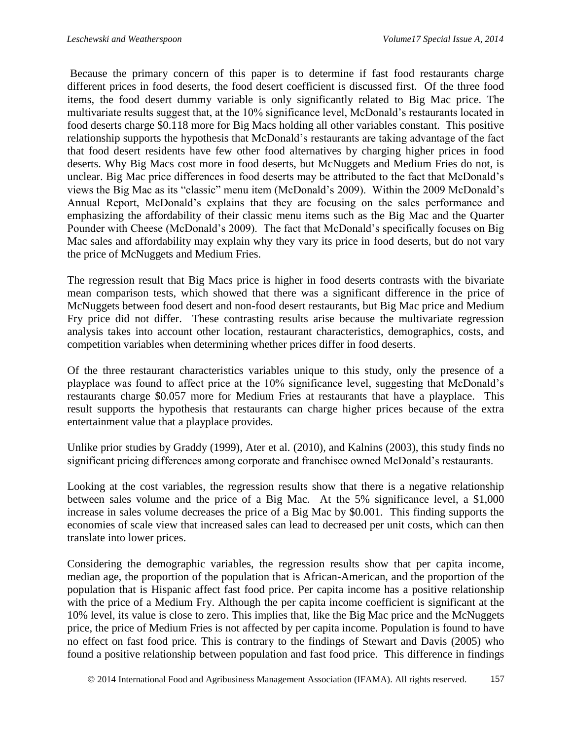Because the primary concern of this paper is to determine if fast food restaurants charge different prices in food deserts, the food desert coefficient is discussed first. Of the three food items, the food desert dummy variable is only significantly related to Big Mac price. The multivariate results suggest that, at the 10% significance level, McDonald's restaurants located in food deserts charge \$0.118 more for Big Macs holding all other variables constant. This positive relationship supports the hypothesis that McDonald's restaurants are taking advantage of the fact that food desert residents have few other food alternatives by charging higher prices in food deserts. Why Big Macs cost more in food deserts, but McNuggets and Medium Fries do not, is unclear. Big Mac price differences in food deserts may be attributed to the fact that McDonald's views the Big Mac as its "classic" menu item (McDonald's 2009). Within the 2009 McDonald's Annual Report, McDonald's explains that they are focusing on the sales performance and emphasizing the affordability of their classic menu items such as the Big Mac and the Quarter Pounder with Cheese (McDonald's 2009). The fact that McDonald's specifically focuses on Big Mac sales and affordability may explain why they vary its price in food deserts, but do not vary the price of McNuggets and Medium Fries.

The regression result that Big Macs price is higher in food deserts contrasts with the bivariate mean comparison tests, which showed that there was a significant difference in the price of McNuggets between food desert and non-food desert restaurants, but Big Mac price and Medium Fry price did not differ. These contrasting results arise because the multivariate regression analysis takes into account other location, restaurant characteristics, demographics, costs, and competition variables when determining whether prices differ in food deserts.

Of the three restaurant characteristics variables unique to this study, only the presence of a playplace was found to affect price at the 10% significance level, suggesting that McDonald's restaurants charge \$0.057 more for Medium Fries at restaurants that have a playplace. This result supports the hypothesis that restaurants can charge higher prices because of the extra entertainment value that a playplace provides.

Unlike prior studies by Graddy (1999), Ater et al. (2010), and Kalnins (2003), this study finds no significant pricing differences among corporate and franchisee owned McDonald's restaurants.

Looking at the cost variables, the regression results show that there is a negative relationship between sales volume and the price of a Big Mac. At the 5% significance level, a \$1,000 increase in sales volume decreases the price of a Big Mac by \$0.001. This finding supports the economies of scale view that increased sales can lead to decreased per unit costs, which can then translate into lower prices.

Considering the demographic variables, the regression results show that per capita income, median age, the proportion of the population that is African-American, and the proportion of the population that is Hispanic affect fast food price. Per capita income has a positive relationship with the price of a Medium Fry. Although the per capita income coefficient is significant at the 10% level, its value is close to zero. This implies that, like the Big Mac price and the McNuggets price, the price of Medium Fries is not affected by per capita income. Population is found to have no effect on fast food price. This is contrary to the findings of Stewart and Davis (2005) who found a positive relationship between population and fast food price. This difference in findings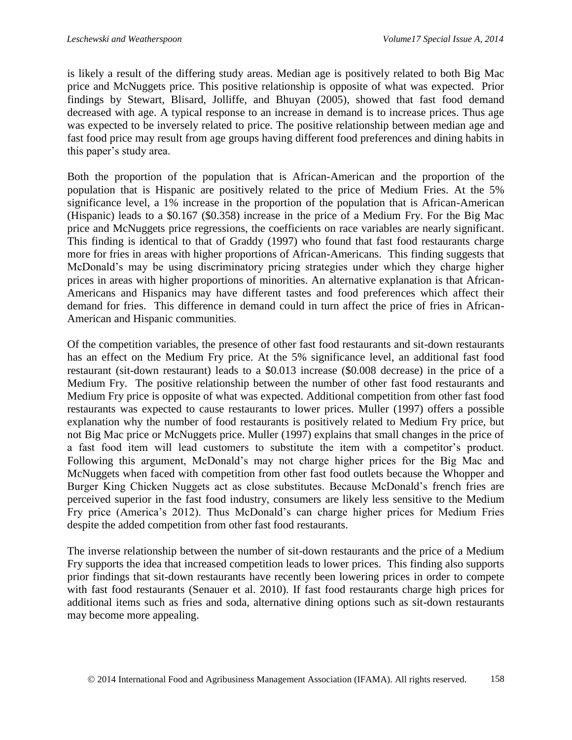is likely a result of the differing study areas. Median age is positively related to both Big Mac price and McNuggets price. This positive relationship is opposite of what was expected. Prior findings by Stewart, Blisard, Jolliffe, and Bhuyan (2005), showed that fast food demand decreased with age. A typical response to an increase in demand is to increase prices. Thus age was expected to be inversely related to price. The positive relationship between median age and fast food price may result from age groups having different food preferences and dining habits in this paper's study area.

Both the proportion of the population that is African-American and the proportion of the population that is Hispanic are positively related to the price of Medium Fries. At the 5% significance level, a 1% increase in the proportion of the population that is African-American (Hispanic) leads to a \$0.167 (\$0.358) increase in the price of a Medium Fry. For the Big Mac price and McNuggets price regressions, the coefficients on race variables are nearly significant. This finding is identical to that of Graddy (1997) who found that fast food restaurants charge more for fries in areas with higher proportions of African-Americans. This finding suggests that McDonald's may be using discriminatory pricing strategies under which they charge higher prices in areas with higher proportions of minorities. An alternative explanation is that African-Americans and Hispanics may have different tastes and food preferences which affect their demand for fries. This difference in demand could in turn affect the price of fries in African-American and Hispanic communities.

Of the competition variables, the presence of other fast food restaurants and sit-down restaurants has an effect on the Medium Fry price. At the 5% significance level, an additional fast food restaurant (sit-down restaurant) leads to a \$0.013 increase (\$0.008 decrease) in the price of a Medium Fry. The positive relationship between the number of other fast food restaurants and Medium Fry price is opposite of what was expected. Additional competition from other fast food restaurants was expected to cause restaurants to lower prices. Muller (1997) offers a possible explanation why the number of food restaurants is positively related to Medium Fry price, but not Big Mac price or McNuggets price. Muller (1997) explains that small changes in the price of a fast food item will lead customers to substitute the item with a competitor's product. Following this argument, McDonald's may not charge higher prices for the Big Mac and McNuggets when faced with competition from other fast food outlets because the Whopper and Burger King Chicken Nuggets act as close substitutes. Because McDonald's french fries are perceived superior in the fast food industry, consumers are likely less sensitive to the Medium Fry price (America's 2012). Thus McDonald's can charge higher prices for Medium Fries despite the added competition from other fast food restaurants.

The inverse relationship between the number of sit-down restaurants and the price of a Medium Fry supports the idea that increased competition leads to lower prices. This finding also supports prior findings that sit-down restaurants have recently been lowering prices in order to compete with fast food restaurants (Senauer et al. 2010). If fast food restaurants charge high prices for additional items such as fries and soda, alternative dining options such as sit-down restaurants may become more appealing.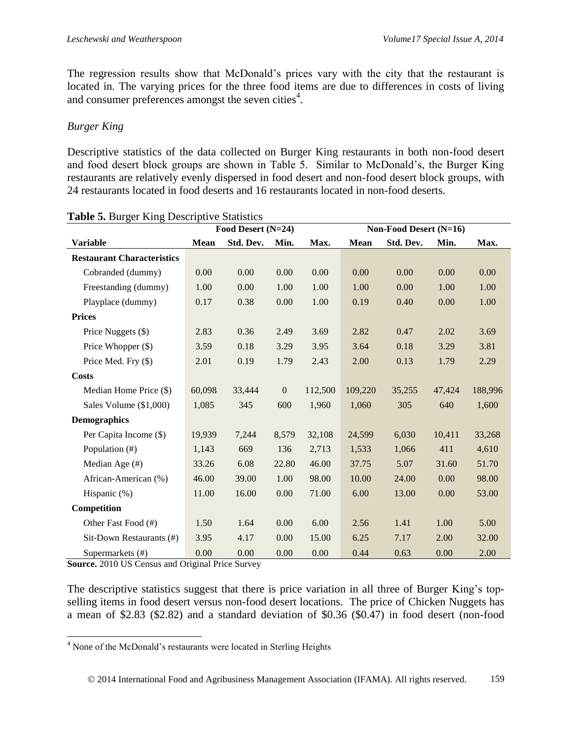The regression results show that McDonald's prices vary with the city that the restaurant is located in. The varying prices for the three food items are due to differences in costs of living and consumer preferences amongst the seven cities $4$ .

### *Burger King*

Descriptive statistics of the data collected on Burger King restaurants in both non-food desert and food desert block groups are shown in Table 5. Similar to McDonald's, the Burger King restaurants are relatively evenly dispersed in food desert and non-food desert block groups, with 24 restaurants located in food deserts and 16 restaurants located in non-food deserts.

|                                   | Food Desert (N=24) |           |              | Non-Food Desert (N=16) |             |           |        |         |
|-----------------------------------|--------------------|-----------|--------------|------------------------|-------------|-----------|--------|---------|
| <b>Variable</b>                   | <b>Mean</b>        | Std. Dev. | Min.         | Max.                   | <b>Mean</b> | Std. Dev. | Min.   | Max.    |
| <b>Restaurant Characteristics</b> |                    |           |              |                        |             |           |        |         |
| Cobranded (dummy)                 | 0.00               | 0.00      | 0.00         | 0.00                   | 0.00        | 0.00      | 0.00   | 0.00    |
| Freestanding (dummy)              | 1.00               | 0.00      | 1.00         | 1.00                   | 1.00        | 0.00      | 1.00   | 1.00    |
| Playplace (dummy)                 | 0.17               | 0.38      | 0.00         | 1.00                   | 0.19        | 0.40      | 0.00   | 1.00    |
| <b>Prices</b>                     |                    |           |              |                        |             |           |        |         |
| Price Nuggets (\$)                | 2.83               | 0.36      | 2.49         | 3.69                   | 2.82        | 0.47      | 2.02   | 3.69    |
| Price Whopper (\$)                | 3.59               | 0.18      | 3.29         | 3.95                   | 3.64        | 0.18      | 3.29   | 3.81    |
| Price Med. Fry (\$)               | 2.01               | 0.19      | 1.79         | 2.43                   | 2.00        | 0.13      | 1.79   | 2.29    |
| Costs                             |                    |           |              |                        |             |           |        |         |
| Median Home Price (\$)            | 60,098             | 33,444    | $\mathbf{0}$ | 112,500                | 109,220     | 35,255    | 47,424 | 188,996 |
| Sales Volume (\$1,000)            | 1,085              | 345       | 600          | 1,960                  | 1,060       | 305       | 640    | 1,600   |
| <b>Demographics</b>               |                    |           |              |                        |             |           |        |         |
| Per Capita Income (\$)            | 19,939             | 7,244     | 8,579        | 32,108                 | 24,599      | 6,030     | 10,411 | 33,268  |
| Population (#)                    | 1,143              | 669       | 136          | 2,713                  | 1,533       | 1,066     | 411    | 4,610   |
| Median Age (#)                    | 33.26              | 6.08      | 22.80        | 46.00                  | 37.75       | 5.07      | 31.60  | 51.70   |
| African-American (%)              | 46.00              | 39.00     | 1.00         | 98.00                  | 10.00       | 24.00     | 0.00   | 98.00   |
| Hispanic (%)                      | 11.00              | 16.00     | 0.00         | 71.00                  | 6.00        | 13.00     | 0.00   | 53.00   |
| Competition                       |                    |           |              |                        |             |           |        |         |
| Other Fast Food (#)               | 1.50               | 1.64      | 0.00         | 6.00                   | 2.56        | 1.41      | 1.00   | 5.00    |
| Sit-Down Restaurants (#)          | 3.95               | 4.17      | 0.00         | 15.00                  | 6.25        | 7.17      | 2.00   | 32.00   |
| Supermarkets (#)                  | 0.00               | 0.00      | 0.00         | 0.00                   | 0.44        | 0.63      | 0.00   | 2.00    |

**Source.** 2010 US Census and Original Price Survey

The descriptive statistics suggest that there is price variation in all three of Burger King's topselling items in food desert versus non-food desert locations. The price of Chicken Nuggets has a mean of \$2.83 (\$2.82) and a standard deviation of \$0.36 (\$0.47) in food desert (non-food

l <sup>4</sup> None of the McDonald's restaurants were located in Sterling Heights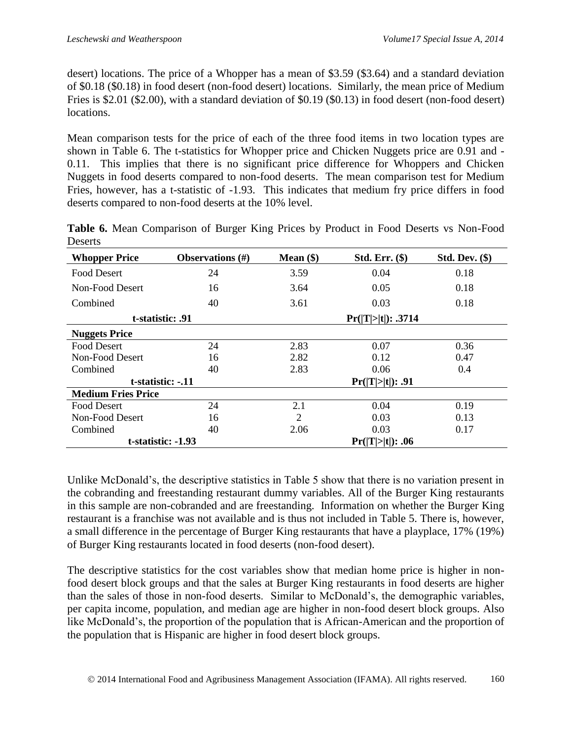desert) locations. The price of a Whopper has a mean of \$3.59 (\$3.64) and a standard deviation of \$0.18 (\$0.18) in food desert (non-food desert) locations. Similarly, the mean price of Medium Fries is \$2.01 (\$2.00), with a standard deviation of \$0.19 (\$0.13) in food desert (non-food desert) locations.

Mean comparison tests for the price of each of the three food items in two location types are shown in Table 6. The t-statistics for Whopper price and Chicken Nuggets price are 0.91 and - 0.11. This implies that there is no significant price difference for Whoppers and Chicken Nuggets in food deserts compared to non-food deserts. The mean comparison test for Medium Fries, however, has a t-statistic of -1.93. This indicates that medium fry price differs in food deserts compared to non-food deserts at the 10% level.

| <b>Whopper Price</b>      | Observations $(\#)$ | Mean $(\$)$    | $Std. Err.$ $(*)$  | $Std. Dev.$ (\$) |
|---------------------------|---------------------|----------------|--------------------|------------------|
| Food Desert               | 24                  | 3.59           | 0.04               | 0.18             |
| Non-Food Desert           | 16                  | 3.64           | 0.05               | 0.18             |
| Combined                  | 40                  | 3.61           | 0.03               | 0.18             |
| t-statistic: .91          |                     |                | Pr( T > t ): .3714 |                  |
| <b>Nuggets Price</b>      |                     |                |                    |                  |
| <b>Food Desert</b>        | 24                  | 2.83           | 0.07               | 0.36             |
| Non-Food Desert           | 16                  | 2.82           | 0.12               | 0.47             |
| Combined                  | 40                  | 2.83           | 0.06               | 0.4              |
| t-statistic: -.11         |                     |                | Pr( T > t ): .91   |                  |
| <b>Medium Fries Price</b> |                     |                |                    |                  |
| Food Desert               | 24                  | 2.1            | 0.04               | 0.19             |
| Non-Food Desert           | 16                  | $\overline{c}$ | 0.03               | 0.13             |
| Combined                  | 40                  | 2.06           | 0.03               | 0.17             |
| t-statistic: -1.93        |                     |                | Pr( T > t ): .06   |                  |

**Table 6.** Mean Comparison of Burger King Prices by Product in Food Deserts vs Non-Food Deserts

Unlike McDonald's, the descriptive statistics in Table 5 show that there is no variation present in the cobranding and freestanding restaurant dummy variables. All of the Burger King restaurants in this sample are non-cobranded and are freestanding. Information on whether the Burger King restaurant is a franchise was not available and is thus not included in Table 5. There is, however, a small difference in the percentage of Burger King restaurants that have a playplace, 17% (19%) of Burger King restaurants located in food deserts (non-food desert).

The descriptive statistics for the cost variables show that median home price is higher in nonfood desert block groups and that the sales at Burger King restaurants in food deserts are higher than the sales of those in non-food deserts. Similar to McDonald's, the demographic variables, per capita income, population, and median age are higher in non-food desert block groups. Also like McDonald's, the proportion of the population that is African-American and the proportion of the population that is Hispanic are higher in food desert block groups.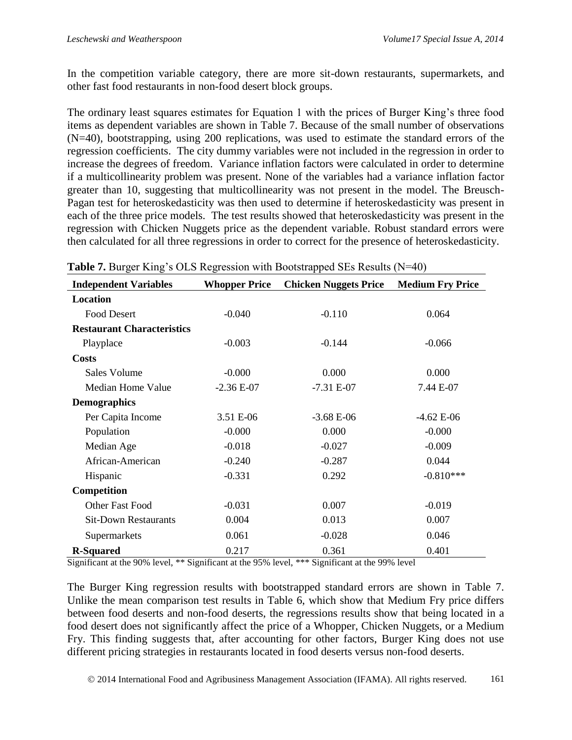In the competition variable category, there are more sit-down restaurants, supermarkets, and other fast food restaurants in non-food desert block groups.

The ordinary least squares estimates for Equation 1 with the prices of Burger King's three food items as dependent variables are shown in Table 7. Because of the small number of observations (N=40), bootstrapping, using 200 replications, was used to estimate the standard errors of the regression coefficients. The city dummy variables were not included in the regression in order to increase the degrees of freedom. Variance inflation factors were calculated in order to determine if a multicollinearity problem was present. None of the variables had a variance inflation factor greater than 10, suggesting that multicollinearity was not present in the model. The Breusch-Pagan test for heteroskedasticity was then used to determine if heteroskedasticity was present in each of the three price models. The test results showed that heteroskedasticity was present in the regression with Chicken Nuggets price as the dependent variable. Robust standard errors were then calculated for all three regressions in order to correct for the presence of heteroskedasticity.

| $\frac{1}{2}$<br><b>Independent Variables</b> | <b>Whopper Price</b> | <b>Chicken Nuggets Price</b> | <b>Medium Fry Price</b> |
|-----------------------------------------------|----------------------|------------------------------|-------------------------|
| Location                                      |                      |                              |                         |
| <b>Food Desert</b>                            | $-0.040$             | $-0.110$                     | 0.064                   |
| <b>Restaurant Characteristics</b>             |                      |                              |                         |
| Playplace                                     | $-0.003$             | $-0.144$                     | $-0.066$                |
| <b>Costs</b>                                  |                      |                              |                         |
| <b>Sales Volume</b>                           | $-0.000$             | 0.000                        | 0.000                   |
| <b>Median Home Value</b>                      | $-2.36 E-07$         | $-7.31 E-07$                 | 7.44 E-07               |
| <b>Demographics</b>                           |                      |                              |                         |
| Per Capita Income                             | 3.51 E-06            | $-3.68$ E-06                 | $-4.62 E-06$            |
| Population                                    | $-0.000$             | 0.000                        | $-0.000$                |
| Median Age                                    | $-0.018$             | $-0.027$                     | $-0.009$                |
| African-American                              | $-0.240$             | $-0.287$                     | 0.044                   |
| Hispanic                                      | $-0.331$             | 0.292                        | $-0.810***$             |
| Competition                                   |                      |                              |                         |
| Other Fast Food                               | $-0.031$             | 0.007                        | $-0.019$                |
| <b>Sit-Down Restaurants</b>                   | 0.004                | 0.013                        | 0.007                   |
| Supermarkets                                  | 0.061                | $-0.028$                     | 0.046                   |
| <b>R-Squared</b>                              | 0.217                | 0.361                        | 0.401                   |

|  |  | Table 7. Burger King's OLS Regression with Bootstrapped SEs Results (N=40) |  |  |  |
|--|--|----------------------------------------------------------------------------|--|--|--|
|  |  |                                                                            |  |  |  |

Significant at the 90% level, \*\* Significant at the 95% level, \*\*\* Significant at the 99% level

The Burger King regression results with bootstrapped standard errors are shown in Table 7. Unlike the mean comparison test results in Table 6, which show that Medium Fry price differs between food deserts and non-food deserts, the regressions results show that being located in a food desert does not significantly affect the price of a Whopper, Chicken Nuggets, or a Medium Fry. This finding suggests that, after accounting for other factors, Burger King does not use different pricing strategies in restaurants located in food deserts versus non-food deserts.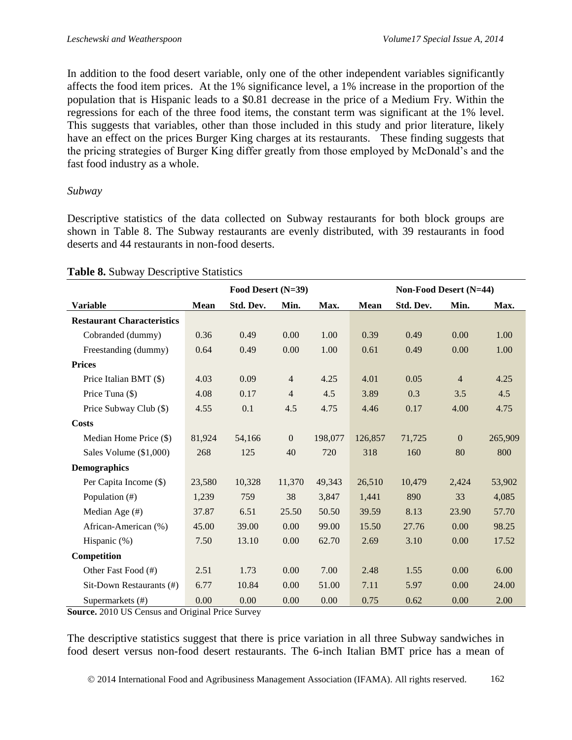In addition to the food desert variable, only one of the other independent variables significantly affects the food item prices. At the 1% significance level, a 1% increase in the proportion of the population that is Hispanic leads to a \$0.81 decrease in the price of a Medium Fry. Within the regressions for each of the three food items, the constant term was significant at the 1% level. This suggests that variables, other than those included in this study and prior literature, likely have an effect on the prices Burger King charges at its restaurants. These finding suggests that the pricing strategies of Burger King differ greatly from those employed by McDonald's and the fast food industry as a whole.

#### *Subway*

Descriptive statistics of the data collected on Subway restaurants for both block groups are shown in Table 8. The Subway restaurants are evenly distributed, with 39 restaurants in food deserts and 44 restaurants in non-food deserts.

|                                   | Food Desert (N=39) |           |                | Non-Food Desert (N=44) |             |           |                  |         |
|-----------------------------------|--------------------|-----------|----------------|------------------------|-------------|-----------|------------------|---------|
| <b>Variable</b>                   | <b>Mean</b>        | Std. Dev. | Min.           | Max.                   | <b>Mean</b> | Std. Dev. | Min.             | Max.    |
| <b>Restaurant Characteristics</b> |                    |           |                |                        |             |           |                  |         |
| Cobranded (dummy)                 | 0.36               | 0.49      | 0.00           | 1.00                   | 0.39        | 0.49      | 0.00             | 1.00    |
| Freestanding (dummy)              | 0.64               | 0.49      | 0.00           | 1.00                   | 0.61        | 0.49      | 0.00             | 1.00    |
| <b>Prices</b>                     |                    |           |                |                        |             |           |                  |         |
| Price Italian BMT (\$)            | 4.03               | 0.09      | $\overline{4}$ | 4.25                   | 4.01        | 0.05      | $\overline{4}$   | 4.25    |
| Price Tuna (\$)                   | 4.08               | 0.17      | $\overline{4}$ | 4.5                    | 3.89        | 0.3       | 3.5              | 4.5     |
| Price Subway Club (\$)            | 4.55               | 0.1       | 4.5            | 4.75                   | 4.46        | 0.17      | 4.00             | 4.75    |
| Costs                             |                    |           |                |                        |             |           |                  |         |
| Median Home Price (\$)            | 81,924             | 54,166    | $\overline{0}$ | 198,077                | 126,857     | 71,725    | $\boldsymbol{0}$ | 265,909 |
| Sales Volume (\$1,000)            | 268                | 125       | 40             | 720                    | 318         | 160       | 80               | 800     |
| <b>Demographics</b>               |                    |           |                |                        |             |           |                  |         |
| Per Capita Income (\$)            | 23,580             | 10,328    | 11,370         | 49,343                 | 26,510      | 10,479    | 2,424            | 53,902  |
| Population (#)                    | 1,239              | 759       | 38             | 3,847                  | 1,441       | 890       | 33               | 4,085   |
| Median Age (#)                    | 37.87              | 6.51      | 25.50          | 50.50                  | 39.59       | 8.13      | 23.90            | 57.70   |
| African-American (%)              | 45.00              | 39.00     | 0.00           | 99.00                  | 15.50       | 27.76     | 0.00             | 98.25   |
| Hispanic (%)                      | 7.50               | 13.10     | 0.00           | 62.70                  | 2.69        | 3.10      | 0.00             | 17.52   |
| Competition                       |                    |           |                |                        |             |           |                  |         |
| Other Fast Food (#)               | 2.51               | 1.73      | 0.00           | 7.00                   | 2.48        | 1.55      | 0.00             | 6.00    |
| Sit-Down Restaurants (#)          | 6.77               | 10.84     | 0.00           | 51.00                  | 7.11        | 5.97      | 0.00             | 24.00   |
| Supermarkets (#)                  | 0.00               | 0.00      | 0.00           | 0.00                   | 0.75        | 0.62      | 0.00             | 2.00    |

#### **Table 8.** Subway Descriptive Statistics

**Source.** 2010 US Census and Original Price Survey

The descriptive statistics suggest that there is price variation in all three Subway sandwiches in food desert versus non-food desert restaurants. The 6-inch Italian BMT price has a mean of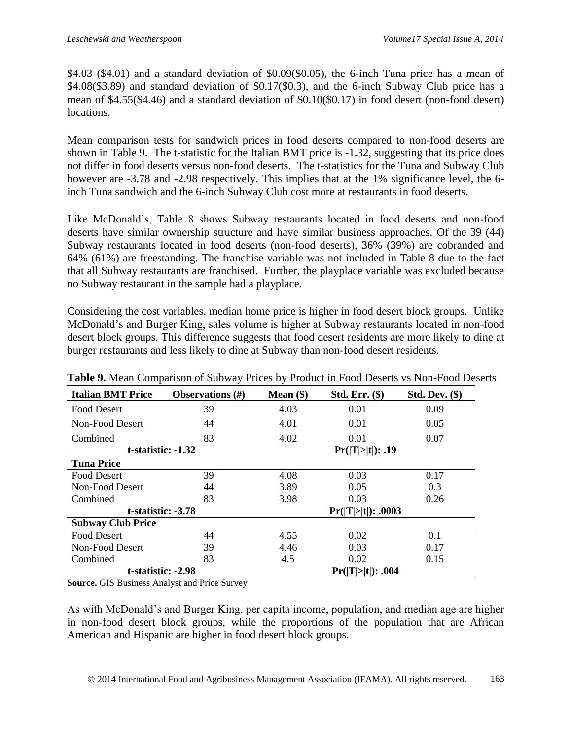$$4.03$  ( $$4.01$ ) and a standard deviation of  $$0.09$ ( $$0.05$ ), the 6-inch Tuna price has a mean of \$4.08(\$3.89) and standard deviation of \$0.17(\$0.3), and the 6-inch Subway Club price has a mean of \$4.55(\$4.46) and a standard deviation of \$0.10(\$0.17) in food desert (non-food desert) locations.

Mean comparison tests for sandwich prices in food deserts compared to non-food deserts are shown in Table 9. The t-statistic for the Italian BMT price is -1.32, suggesting that its price does not differ in food deserts versus non-food deserts. The t-statistics for the Tuna and Subway Club however are  $-3.78$  and  $-2.98$  respectively. This implies that at the 1% significance level, the 6inch Tuna sandwich and the 6-inch Subway Club cost more at restaurants in food deserts.

Like McDonald's, Table 8 shows Subway restaurants located in food deserts and non-food deserts have similar ownership structure and have similar business approaches. Of the 39 (44) Subway restaurants located in food deserts (non-food deserts), 36% (39%) are cobranded and 64% (61%) are freestanding. The franchise variable was not included in Table 8 due to the fact that all Subway restaurants are franchised. Further, the playplace variable was excluded because no Subway restaurant in the sample had a playplace.

Considering the cost variables, median home price is higher in food desert block groups. Unlike McDonald's and Burger King, sales volume is higher at Subway restaurants located in non-food desert block groups. This difference suggests that food desert residents are more likely to dine at burger restaurants and less likely to dine at Subway than non-food desert residents.

| л.<br><b>Italian BMT Price</b>          | <b>Observations</b> $(\#)$ | $\checkmark$<br>Mean $(\$)$ | $Std. Err.$ $(*)$  | <b>Std. Dev. (\$)</b> |  |
|-----------------------------------------|----------------------------|-----------------------------|--------------------|-----------------------|--|
| <b>Food Desert</b>                      | 39                         | 4.03                        | 0.01               | 0.09                  |  |
| Non-Food Desert                         | 44                         | 4.01                        | 0.01               | 0.05                  |  |
| Combined                                | 83                         | 4.02                        | 0.01               | 0.07                  |  |
| $t$ -statistic: $-1.32$                 |                            |                             | Pr( T > t ): .19   |                       |  |
| <b>Tuna Price</b>                       |                            |                             |                    |                       |  |
| Food Desert                             | 39                         | 4.08                        | 0.03               | 0.17                  |  |
| Non-Food Desert                         | 44                         | 3.89                        | 0.05               | 0.3                   |  |
| Combined                                | 83                         | 3.98                        | 0.03               | 0.26                  |  |
| t-statistic: -3.78                      |                            |                             | Pr( T > t ): .0003 |                       |  |
| <b>Subway Club Price</b>                |                            |                             |                    |                       |  |
| <b>Food Desert</b>                      | 44                         | 4.55                        | 0.02               | 0.1                   |  |
| Non-Food Desert                         | 39                         | 4.46                        | 0.03               | 0.17                  |  |
| Combined                                | 83                         | 4.5                         | 0.02               | 0.15                  |  |
| t-statistic: -2.98<br>Pr( T > t ): .004 |                            |                             |                    |                       |  |

**Table 9.** Mean Comparison of Subway Prices by Product in Food Deserts vs Non-Food Deserts

**Source.** GIS Business Analyst and Price Survey

As with McDonald's and Burger King, per capita income, population, and median age are higher in non-food desert block groups, while the proportions of the population that are African American and Hispanic are higher in food desert block groups.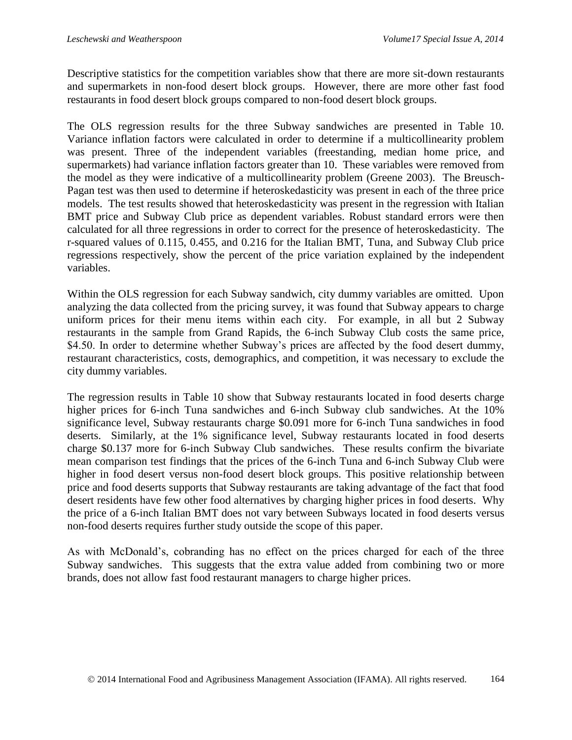Descriptive statistics for the competition variables show that there are more sit-down restaurants and supermarkets in non-food desert block groups. However, there are more other fast food restaurants in food desert block groups compared to non-food desert block groups.

The OLS regression results for the three Subway sandwiches are presented in Table 10. Variance inflation factors were calculated in order to determine if a multicollinearity problem was present. Three of the independent variables (freestanding, median home price, and supermarkets) had variance inflation factors greater than 10. These variables were removed from the model as they were indicative of a multicollinearity problem (Greene 2003). The Breusch-Pagan test was then used to determine if heteroskedasticity was present in each of the three price models. The test results showed that heteroskedasticity was present in the regression with Italian BMT price and Subway Club price as dependent variables. Robust standard errors were then calculated for all three regressions in order to correct for the presence of heteroskedasticity. The r-squared values of 0.115, 0.455, and 0.216 for the Italian BMT, Tuna, and Subway Club price regressions respectively, show the percent of the price variation explained by the independent variables.

Within the OLS regression for each Subway sandwich, city dummy variables are omitted. Upon analyzing the data collected from the pricing survey, it was found that Subway appears to charge uniform prices for their menu items within each city. For example, in all but 2 Subway restaurants in the sample from Grand Rapids, the 6-inch Subway Club costs the same price, \$4.50. In order to determine whether Subway's prices are affected by the food desert dummy, restaurant characteristics, costs, demographics, and competition, it was necessary to exclude the city dummy variables.

The regression results in Table 10 show that Subway restaurants located in food deserts charge higher prices for 6-inch Tuna sandwiches and 6-inch Subway club sandwiches. At the 10% significance level, Subway restaurants charge \$0.091 more for 6-inch Tuna sandwiches in food deserts. Similarly, at the 1% significance level, Subway restaurants located in food deserts charge \$0.137 more for 6-inch Subway Club sandwiches. These results confirm the bivariate mean comparison test findings that the prices of the 6-inch Tuna and 6-inch Subway Club were higher in food desert versus non-food desert block groups. This positive relationship between price and food deserts supports that Subway restaurants are taking advantage of the fact that food desert residents have few other food alternatives by charging higher prices in food deserts. Why the price of a 6-inch Italian BMT does not vary between Subways located in food deserts versus non-food deserts requires further study outside the scope of this paper.

As with McDonald's, cobranding has no effect on the prices charged for each of the three Subway sandwiches. This suggests that the extra value added from combining two or more brands, does not allow fast food restaurant managers to charge higher prices.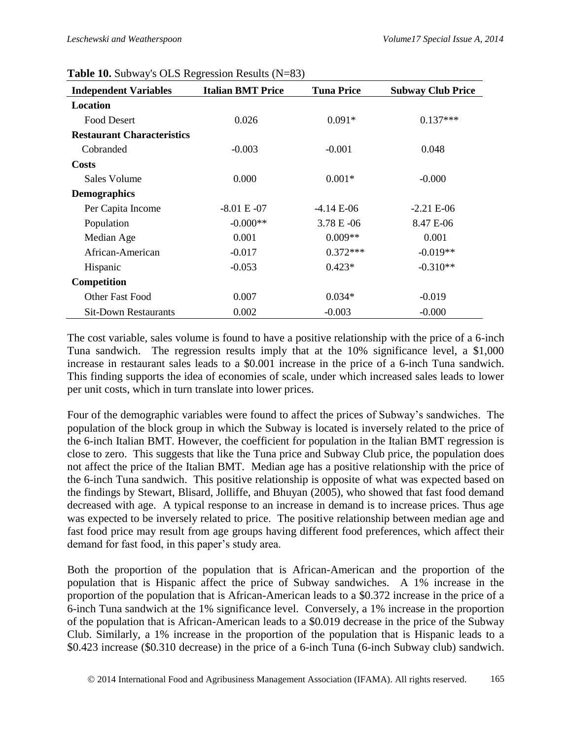| $\frac{1}{2}$ . $\frac{1}{2}$ . $\frac{1}{2}$ . $\frac{1}{2}$ . $\frac{1}{2}$ . $\frac{1}{2}$ . $\frac{1}{2}$ . $\frac{1}{2}$<br><b>Independent Variables</b> | <b>Italian BMT Price</b> | <b>Tuna Price</b> | <b>Subway Club Price</b> |
|---------------------------------------------------------------------------------------------------------------------------------------------------------------|--------------------------|-------------------|--------------------------|
| Location                                                                                                                                                      |                          |                   |                          |
| <b>Food Desert</b>                                                                                                                                            | 0.026                    | $0.091*$          | $0.137***$               |
| <b>Restaurant Characteristics</b>                                                                                                                             |                          |                   |                          |
| Cobranded                                                                                                                                                     | $-0.003$                 | $-0.001$          | 0.048                    |
| <b>Costs</b>                                                                                                                                                  |                          |                   |                          |
| Sales Volume                                                                                                                                                  | 0.000                    | $0.001*$          | $-0.000$                 |
| <b>Demographics</b>                                                                                                                                           |                          |                   |                          |
| Per Capita Income                                                                                                                                             | $-8.01 E - 07$           | $-4.14 E-06$      | $-2.21 E-06$             |
| Population                                                                                                                                                    | $-0.000**$               | $3.78 E - 06$     | 8.47 E-06                |
| Median Age                                                                                                                                                    | 0.001                    | $0.009**$         | 0.001                    |
| African-American                                                                                                                                              | $-0.017$                 | $0.372***$        | $-0.019**$               |
| Hispanic                                                                                                                                                      | $-0.053$                 | $0.423*$          | $-0.310**$               |
| <b>Competition</b>                                                                                                                                            |                          |                   |                          |
| Other Fast Food                                                                                                                                               | 0.007                    | $0.034*$          | $-0.019$                 |
| <b>Sit-Down Restaurants</b>                                                                                                                                   | 0.002                    | $-0.003$          | $-0.000$                 |

#### **Table 10.** Subway's OLS Regression Results (N=83)

The cost variable, sales volume is found to have a positive relationship with the price of a 6-inch Tuna sandwich. The regression results imply that at the 10% significance level, a \$1,000 increase in restaurant sales leads to a \$0.001 increase in the price of a 6-inch Tuna sandwich. This finding supports the idea of economies of scale, under which increased sales leads to lower per unit costs, which in turn translate into lower prices.

Four of the demographic variables were found to affect the prices of Subway's sandwiches. The population of the block group in which the Subway is located is inversely related to the price of the 6-inch Italian BMT. However, the coefficient for population in the Italian BMT regression is close to zero. This suggests that like the Tuna price and Subway Club price, the population does not affect the price of the Italian BMT. Median age has a positive relationship with the price of the 6-inch Tuna sandwich. This positive relationship is opposite of what was expected based on the findings by Stewart, Blisard, Jolliffe, and Bhuyan (2005), who showed that fast food demand decreased with age. A typical response to an increase in demand is to increase prices. Thus age was expected to be inversely related to price. The positive relationship between median age and fast food price may result from age groups having different food preferences, which affect their demand for fast food, in this paper's study area.

Both the proportion of the population that is African-American and the proportion of the population that is Hispanic affect the price of Subway sandwiches. A 1% increase in the proportion of the population that is African-American leads to a \$0.372 increase in the price of a 6-inch Tuna sandwich at the 1% significance level. Conversely, a 1% increase in the proportion of the population that is African-American leads to a \$0.019 decrease in the price of the Subway Club. Similarly, a 1% increase in the proportion of the population that is Hispanic leads to a \$0.423 increase (\$0.310 decrease) in the price of a 6-inch Tuna (6-inch Subway club) sandwich.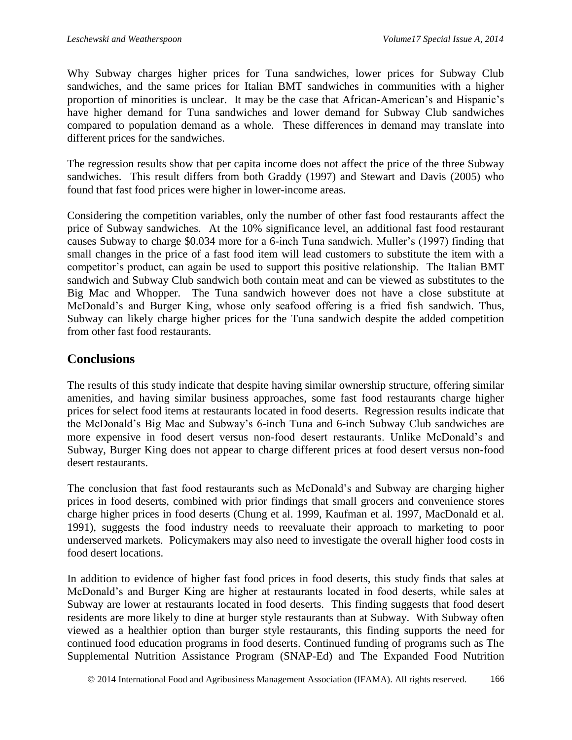Why Subway charges higher prices for Tuna sandwiches, lower prices for Subway Club sandwiches, and the same prices for Italian BMT sandwiches in communities with a higher proportion of minorities is unclear. It may be the case that African-American's and Hispanic's have higher demand for Tuna sandwiches and lower demand for Subway Club sandwiches compared to population demand as a whole. These differences in demand may translate into different prices for the sandwiches.

The regression results show that per capita income does not affect the price of the three Subway sandwiches. This result differs from both Graddy (1997) and Stewart and Davis (2005) who found that fast food prices were higher in lower-income areas.

Considering the competition variables, only the number of other fast food restaurants affect the price of Subway sandwiches. At the 10% significance level, an additional fast food restaurant causes Subway to charge \$0.034 more for a 6-inch Tuna sandwich. Muller's (1997) finding that small changes in the price of a fast food item will lead customers to substitute the item with a competitor's product, can again be used to support this positive relationship. The Italian BMT sandwich and Subway Club sandwich both contain meat and can be viewed as substitutes to the Big Mac and Whopper. The Tuna sandwich however does not have a close substitute at McDonald's and Burger King, whose only seafood offering is a fried fish sandwich. Thus, Subway can likely charge higher prices for the Tuna sandwich despite the added competition from other fast food restaurants.

## **Conclusions**

The results of this study indicate that despite having similar ownership structure, offering similar amenities, and having similar business approaches, some fast food restaurants charge higher prices for select food items at restaurants located in food deserts. Regression results indicate that the McDonald's Big Mac and Subway's 6-inch Tuna and 6-inch Subway Club sandwiches are more expensive in food desert versus non-food desert restaurants. Unlike McDonald's and Subway, Burger King does not appear to charge different prices at food desert versus non-food desert restaurants.

The conclusion that fast food restaurants such as McDonald's and Subway are charging higher prices in food deserts, combined with prior findings that small grocers and convenience stores charge higher prices in food deserts (Chung et al. 1999, Kaufman et al. 1997, MacDonald et al. 1991), suggests the food industry needs to reevaluate their approach to marketing to poor underserved markets. Policymakers may also need to investigate the overall higher food costs in food desert locations.

In addition to evidence of higher fast food prices in food deserts, this study finds that sales at McDonald's and Burger King are higher at restaurants located in food deserts, while sales at Subway are lower at restaurants located in food deserts. This finding suggests that food desert residents are more likely to dine at burger style restaurants than at Subway. With Subway often viewed as a healthier option than burger style restaurants, this finding supports the need for continued food education programs in food deserts. Continued funding of programs such as The Supplemental Nutrition Assistance Program (SNAP-Ed) and The Expanded Food Nutrition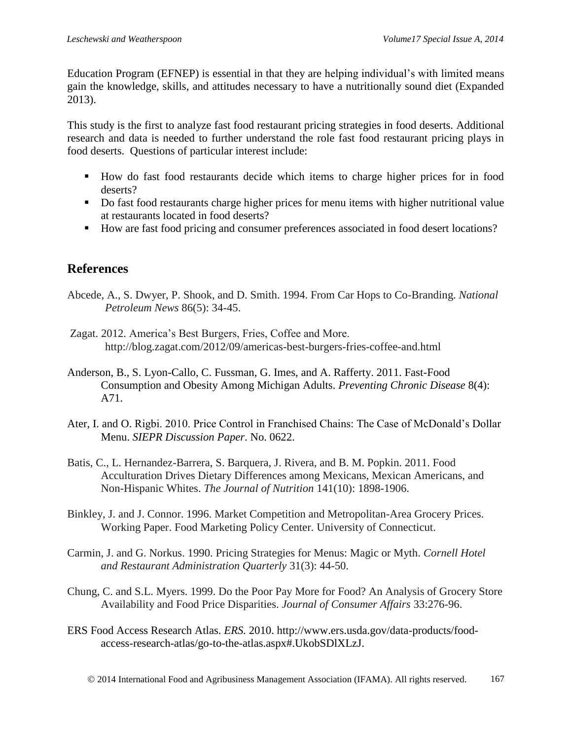Education Program (EFNEP) is essential in that they are helping individual's with limited means gain the knowledge, skills, and attitudes necessary to have a nutritionally sound diet (Expanded 2013).

This study is the first to analyze fast food restaurant pricing strategies in food deserts. Additional research and data is needed to further understand the role fast food restaurant pricing plays in food deserts. Questions of particular interest include:

- How do fast food restaurants decide which items to charge higher prices for in food deserts?
- Do fast food restaurants charge higher prices for menu items with higher nutritional value at restaurants located in food deserts?
- How are fast food pricing and consumer preferences associated in food desert locations?

# **References**

- Abcede, A., S. Dwyer, P. Shook, and D. Smith. 1994. From Car Hops to Co-Branding. *National Petroleum News* 86(5): 34-45.
- Zagat. 2012. America's Best Burgers, Fries, Coffee and More. http://blog.zagat.com/2012/09/americas-best-burgers-fries-coffee-and.html
- Anderson, B., S. Lyon-Callo, C. Fussman, G. Imes, and A. Rafferty. 2011. Fast-Food Consumption and Obesity Among Michigan Adults. *Preventing Chronic Disease* 8(4): A71.
- Ater, I. and O. Rigbi. 2010. Price Control in Franchised Chains: The Case of McDonald's Dollar Menu. *SIEPR Discussion Paper*. No. 0622.
- Batis, C., L. Hernandez-Barrera, S. Barquera, J. Rivera, and B. M. Popkin. 2011. Food Acculturation Drives Dietary Differences among Mexicans, Mexican Americans, and Non-Hispanic Whites. *The Journal of Nutrition* 141(10): 1898-1906.
- Binkley, J. and J. Connor. 1996. Market Competition and Metropolitan-Area Grocery Prices. Working Paper. Food Marketing Policy Center. University of Connecticut.
- Carmin, J. and G. Norkus. 1990. Pricing Strategies for Menus: Magic or Myth. *Cornell Hotel and Restaurant Administration Quarterly* 31(3): 44-50.
- Chung, C. and S.L. Myers. 1999. Do the Poor Pay More for Food? An Analysis of Grocery Store Availability and Food Price Disparities. *Journal of Consumer Affairs* 33:276-96.
- ERS Food Access Research Atlas. *ERS.* 2010. http://www.ers.usda.gov/data-products/foodaccess-research-atlas/go-to-the-atlas.aspx#.UkobSDlXLzJ.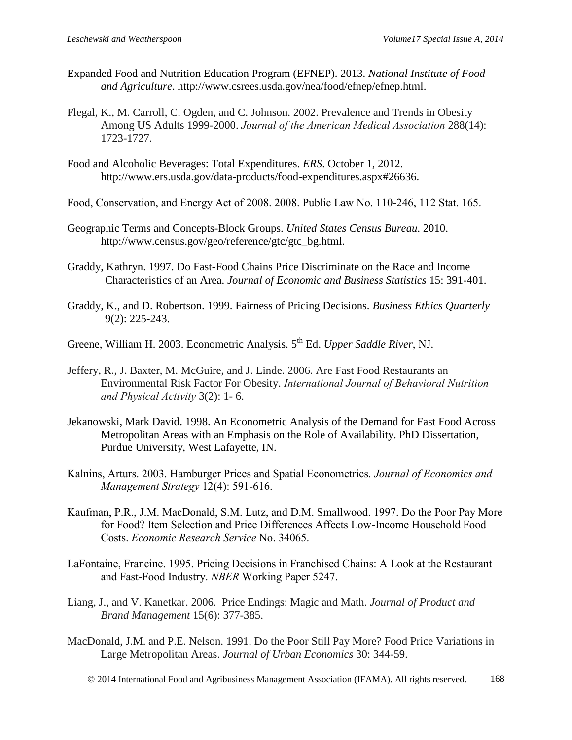- Expanded Food and Nutrition Education Program (EFNEP). 2013. *National Institute of Food and Agriculture*. http://www.csrees.usda.gov/nea/food/efnep/efnep.html.
- Flegal, K., M. Carroll, C. Ogden, and C. Johnson. 2002. Prevalence and Trends in Obesity Among US Adults 1999-2000. *Journal of the American Medical Association* 288(14): 1723-1727.
- Food and Alcoholic Beverages: Total Expenditures. *ERS*. October 1, 2012. http://www.ers.usda.gov/data-products/food-expenditures.aspx#26636.
- Food, Conservation, and Energy Act of 2008. 2008. Public Law No. 110-246, 112 Stat. 165.
- Geographic Terms and Concepts-Block Groups. *United States Census Bureau*. 2010. http://www.census.gov/geo/reference/gtc/gtc\_bg.html.
- Graddy, Kathryn. 1997. Do Fast-Food Chains Price Discriminate on the Race and Income Characteristics of an Area. *Journal of Economic and Business Statistics* 15: 391-401.
- Graddy, K., and D. Robertson. 1999. Fairness of Pricing Decisions. *Business Ethics Quarterly* 9(2): 225-243.
- Greene, William H. 2003. Econometric Analysis. 5<sup>th</sup> Ed. *Upper Saddle River*, NJ.
- Jeffery, R., J. Baxter, M. McGuire, and J. Linde. 2006. Are Fast Food Restaurants an Environmental Risk Factor For Obesity. *International Journal of Behavioral Nutrition and Physical Activity* 3(2): 1- 6.
- Jekanowski, Mark David. 1998. An Econometric Analysis of the Demand for Fast Food Across Metropolitan Areas with an Emphasis on the Role of Availability. PhD Dissertation, Purdue University, West Lafayette, IN.
- Kalnins, Arturs. 2003. Hamburger Prices and Spatial Econometrics. *Journal of Economics and Management Strategy* 12(4): 591-616.
- Kaufman, P.R., J.M. MacDonald, S.M. Lutz, and D.M. Smallwood. 1997. Do the Poor Pay More for Food? Item Selection and Price Differences Affects Low-Income Household Food Costs. *Economic Research Service* No. 34065.
- LaFontaine, Francine. 1995. Pricing Decisions in Franchised Chains: A Look at the Restaurant and Fast-Food Industry. *NBER* Working Paper 5247.
- Liang, J., and V. Kanetkar. 2006. Price Endings: Magic and Math. *Journal of Product and Brand Management* 15(6): 377-385.
- MacDonald, J.M. and P.E. Nelson. 1991. Do the Poor Still Pay More? Food Price Variations in Large Metropolitan Areas. *Journal of Urban Economics* 30: 344-59.
	- 2014 International Food and Agribusiness Management Association (IFAMA). All rights reserved. 168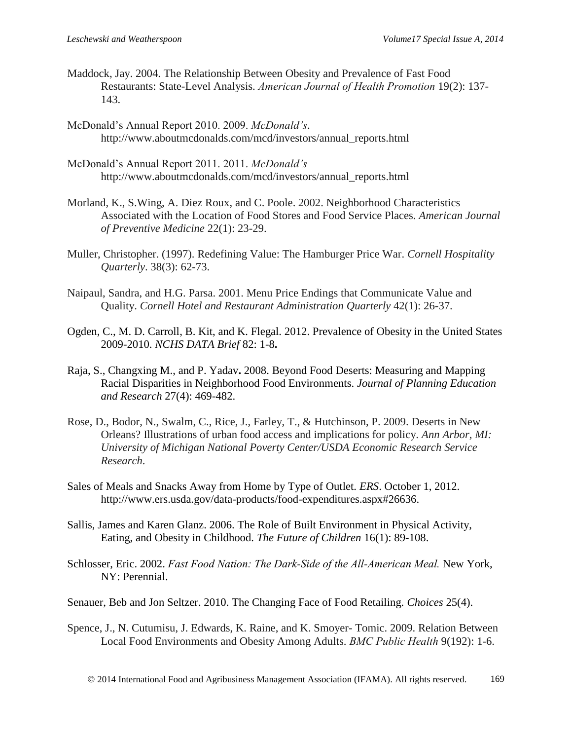- Maddock, Jay. 2004. The Relationship Between Obesity and Prevalence of Fast Food Restaurants: State-Level Analysis. *American Journal of Health Promotion* 19(2): 137- 143.
- McDonald's Annual Report 2010. 2009. *McDonald's*. http://www.aboutmcdonalds.com/mcd/investors/annual\_reports.html
- McDonald's Annual Report 2011. 2011. *McDonald's* http://www.aboutmcdonalds.com/mcd/investors/annual\_reports.html
- Morland, K., S.Wing, A. Diez Roux, and C. Poole. 2002. Neighborhood Characteristics Associated with the Location of Food Stores and Food Service Places. *American Journal of Preventive Medicine* 22(1): 23-29.
- Muller, Christopher. (1997). Redefining Value: The Hamburger Price War. *Cornell Hospitality Quarterly*. 38(3): 62-73.
- Naipaul, Sandra, and H.G. Parsa. 2001. Menu Price Endings that Communicate Value and Quality. *Cornell Hotel and Restaurant Administration Quarterly* 42(1): 26-37.
- Ogden, C., M. D. Carroll, B. Kit, and K. Flegal. 2012. Prevalence of Obesity in the United States 2009-2010. *NCHS DATA Brief* 82: 1-8**.**
- Raja, S., Changxing M., and P. Yadav**.** 2008. Beyond Food Deserts: Measuring and Mapping Racial Disparities in Neighborhood Food Environments. *Journal of Planning Education and Research* 27(4): 469-482.
- Rose, D., Bodor, N., Swalm, C., Rice, J., Farley, T., & Hutchinson, P. 2009. Deserts in New Orleans? Illustrations of urban food access and implications for policy. *Ann Arbor, MI: University of Michigan National Poverty Center/USDA Economic Research Service Research*.
- Sales of Meals and Snacks Away from Home by Type of Outlet. *ERS*. October 1, 2012. http://www.ers.usda.gov/data-products/food-expenditures.aspx#26636.
- Sallis, James and Karen Glanz. 2006. The Role of Built Environment in Physical Activity, Eating, and Obesity in Childhood. *The Future of Children* 16(1): 89-108.
- Schlosser, Eric. 2002. *Fast Food Nation: The Dark-Side of the All-American Meal.* New York, NY: Perennial.
- Senauer, Beb and Jon Seltzer. 2010. The Changing Face of Food Retailing. *Choices* 25(4).
- Spence, J., N. Cutumisu, J. Edwards, K. Raine, and K. Smoyer- Tomic. 2009. Relation Between Local Food Environments and Obesity Among Adults. *BMC Public Health* 9(192): 1-6.